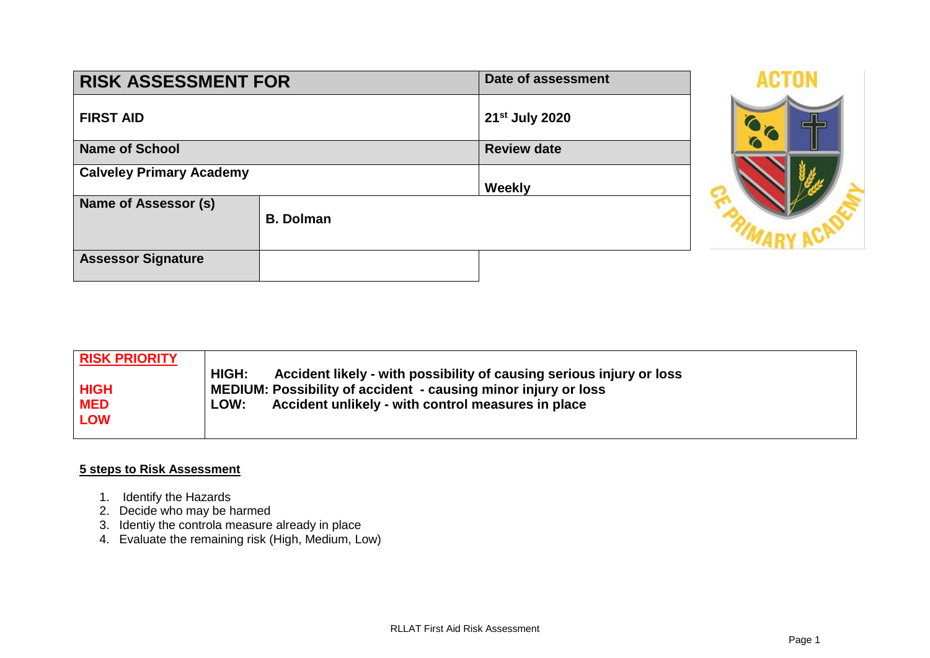| <b>RISK ASSESSMENT FOR</b>      | Date of assessment |                |  |
|---------------------------------|--------------------|----------------|--|
| <b>FIRST AID</b>                |                    | 21st July 2020 |  |
| <b>Name of School</b>           | <b>Review date</b> |                |  |
| <b>Calveley Primary Academy</b> | Weekly             |                |  |
| Name of Assessor (s)            | <b>B.</b> Dolman   |                |  |
| <b>Assessor Signature</b>       |                    |                |  |



| <b>RISK PRIORITY</b> |                                                                               |
|----------------------|-------------------------------------------------------------------------------|
|                      | HIGH:<br>Accident likely - with possibility of causing serious injury or loss |
| <b>HIGH</b>          | MEDIUM: Possibility of accident - causing minor injury or loss                |
| <b>MED</b>           | Accident unlikely - with control measures in place<br>LOW:                    |
| <b>LOW</b>           |                                                                               |
|                      |                                                                               |

## **5 steps to Risk Assessment**

- 1. Identify the Hazards
- 2. Decide who may be harmed
- 3. Identiy the controla measure already in place
- 4. Evaluate the remaining risk (High, Medium, Low)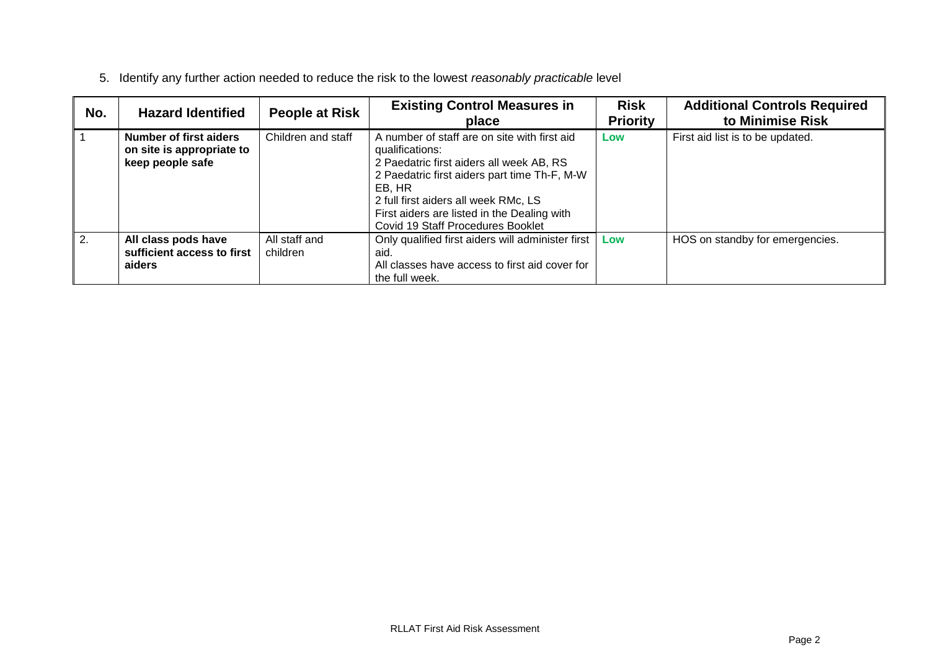| No. | <b>Hazard Identified</b>                                                       | <b>People at Risk</b>     | <b>Existing Control Measures in</b><br>place                                                                                                                                                                                                                                                      | <b>Risk</b><br><b>Priority</b> | <b>Additional Controls Required</b><br>to Minimise Risk |
|-----|--------------------------------------------------------------------------------|---------------------------|---------------------------------------------------------------------------------------------------------------------------------------------------------------------------------------------------------------------------------------------------------------------------------------------------|--------------------------------|---------------------------------------------------------|
|     | <b>Number of first aiders</b><br>on site is appropriate to<br>keep people safe | Children and staff        | A number of staff are on site with first aid<br>qualifications:<br>2 Paedatric first aiders all week AB, RS<br>2 Paedatric first aiders part time Th-F, M-W<br>EB, HR<br>2 full first aiders all week RMc, LS<br>First aiders are listed in the Dealing with<br>Covid 19 Staff Procedures Booklet | Low                            | First aid list is to be updated.                        |
| 2.  | All class pods have<br>sufficient access to first<br>aiders                    | All staff and<br>children | Only qualified first aiders will administer first<br>aid.<br>All classes have access to first aid cover for<br>the full week.                                                                                                                                                                     | Low                            | HOS on standby for emergencies.                         |

5. Identify any further action needed to reduce the risk to the lowest *reasonably practicable* level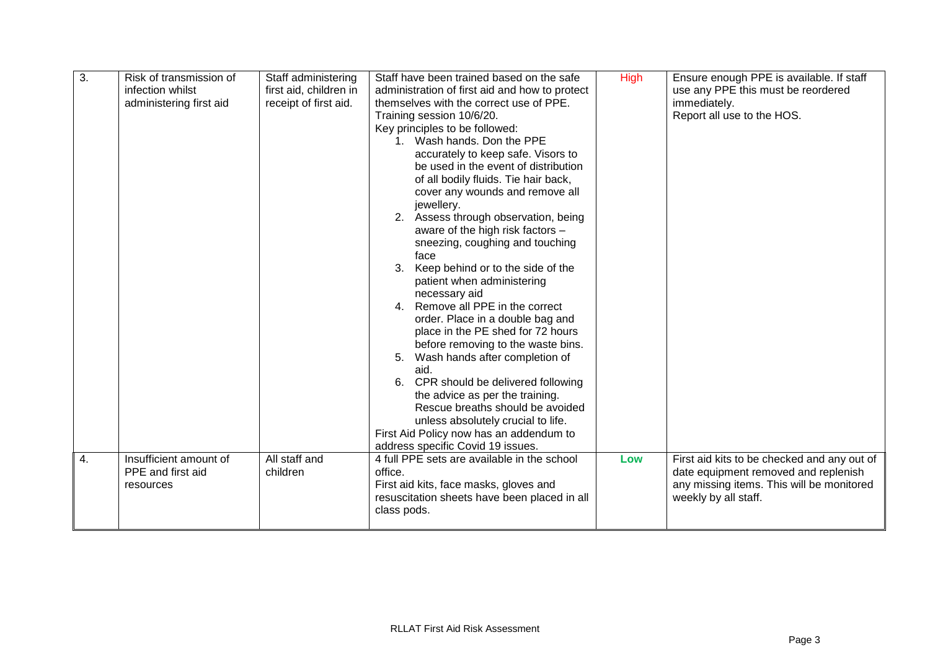| 3.<br>4. | Risk of transmission of<br>infection whilst<br>administering first aid<br>Insufficient amount of | Staff administering<br>first aid, children in<br>receipt of first aid.<br>All staff and | Staff have been trained based on the safe<br>administration of first aid and how to protect<br>themselves with the correct use of PPE.<br>Training session 10/6/20.<br>Key principles to be followed:<br>1. Wash hands, Don the PPE<br>accurately to keep safe. Visors to<br>be used in the event of distribution<br>of all bodily fluids. Tie hair back,<br>cover any wounds and remove all<br>jewellery.<br>2. Assess through observation, being<br>aware of the high risk factors -<br>sneezing, coughing and touching<br>face<br>3. Keep behind or to the side of the<br>patient when administering<br>necessary aid<br>4. Remove all PPE in the correct<br>order. Place in a double bag and<br>place in the PE shed for 72 hours<br>before removing to the waste bins.<br>Wash hands after completion of<br>5.<br>aid.<br>6. CPR should be delivered following<br>the advice as per the training.<br>Rescue breaths should be avoided<br>unless absolutely crucial to life.<br>First Aid Policy now has an addendum to<br>address specific Covid 19 issues.<br>4 full PPE sets are available in the school | High<br>Low | Ensure enough PPE is available. If staff<br>use any PPE this must be reordered<br>immediately.<br>Report all use to the HOS.<br>First aid kits to be checked and any out of |
|----------|--------------------------------------------------------------------------------------------------|-----------------------------------------------------------------------------------------|-----------------------------------------------------------------------------------------------------------------------------------------------------------------------------------------------------------------------------------------------------------------------------------------------------------------------------------------------------------------------------------------------------------------------------------------------------------------------------------------------------------------------------------------------------------------------------------------------------------------------------------------------------------------------------------------------------------------------------------------------------------------------------------------------------------------------------------------------------------------------------------------------------------------------------------------------------------------------------------------------------------------------------------------------------------------------------------------------------------------|-------------|-----------------------------------------------------------------------------------------------------------------------------------------------------------------------------|
|          | PPE and first aid<br>resources                                                                   | children                                                                                | office.<br>First aid kits, face masks, gloves and<br>resuscitation sheets have been placed in all<br>class pods.                                                                                                                                                                                                                                                                                                                                                                                                                                                                                                                                                                                                                                                                                                                                                                                                                                                                                                                                                                                                |             | date equipment removed and replenish<br>any missing items. This will be monitored<br>weekly by all staff.                                                                   |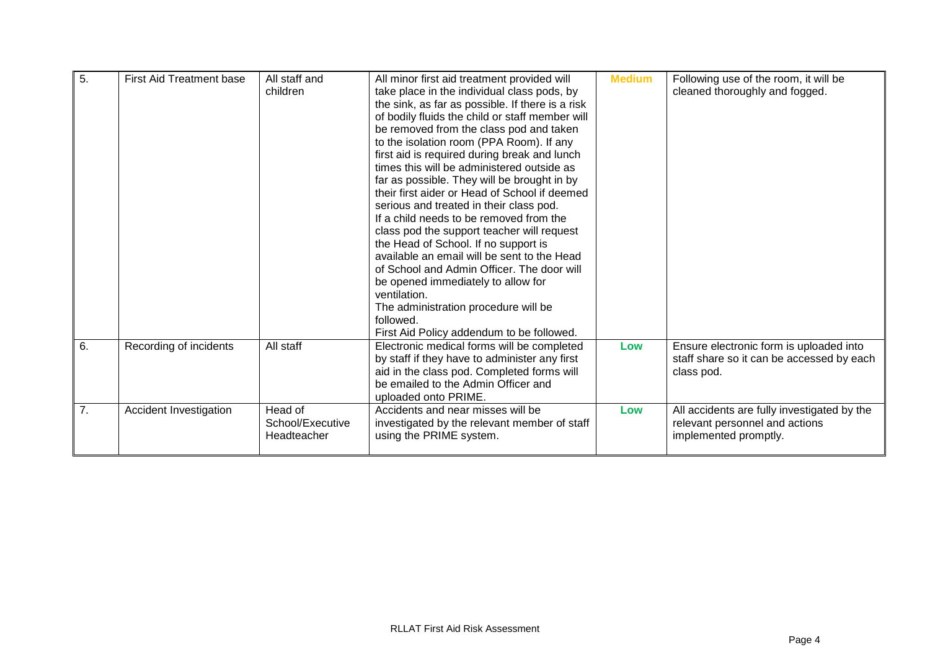| $\overline{5}$ . | <b>First Aid Treatment base</b> | All staff and<br>children                  | All minor first aid treatment provided will<br>take place in the individual class pods, by<br>the sink, as far as possible. If there is a risk<br>of bodily fluids the child or staff member will<br>be removed from the class pod and taken<br>to the isolation room (PPA Room). If any<br>first aid is required during break and lunch<br>times this will be administered outside as<br>far as possible. They will be brought in by<br>their first aider or Head of School if deemed<br>serious and treated in their class pod.<br>If a child needs to be removed from the<br>class pod the support teacher will request<br>the Head of School. If no support is<br>available an email will be sent to the Head<br>of School and Admin Officer. The door will<br>be opened immediately to allow for<br>ventilation.<br>The administration procedure will be | <b>Medium</b> | Following use of the room, it will be<br>cleaned thoroughly and fogged.                                |
|------------------|---------------------------------|--------------------------------------------|---------------------------------------------------------------------------------------------------------------------------------------------------------------------------------------------------------------------------------------------------------------------------------------------------------------------------------------------------------------------------------------------------------------------------------------------------------------------------------------------------------------------------------------------------------------------------------------------------------------------------------------------------------------------------------------------------------------------------------------------------------------------------------------------------------------------------------------------------------------|---------------|--------------------------------------------------------------------------------------------------------|
|                  |                                 |                                            | followed.<br>First Aid Policy addendum to be followed.                                                                                                                                                                                                                                                                                                                                                                                                                                                                                                                                                                                                                                                                                                                                                                                                        |               |                                                                                                        |
| 6.               | Recording of incidents          | All staff                                  | Electronic medical forms will be completed<br>by staff if they have to administer any first<br>aid in the class pod. Completed forms will<br>be emailed to the Admin Officer and<br>uploaded onto PRIME.                                                                                                                                                                                                                                                                                                                                                                                                                                                                                                                                                                                                                                                      | Low           | Ensure electronic form is uploaded into<br>staff share so it can be accessed by each<br>class pod.     |
| 7.               | Accident Investigation          | Head of<br>School/Executive<br>Headteacher | Accidents and near misses will be<br>investigated by the relevant member of staff<br>using the PRIME system.                                                                                                                                                                                                                                                                                                                                                                                                                                                                                                                                                                                                                                                                                                                                                  | Low           | All accidents are fully investigated by the<br>relevant personnel and actions<br>implemented promptly. |